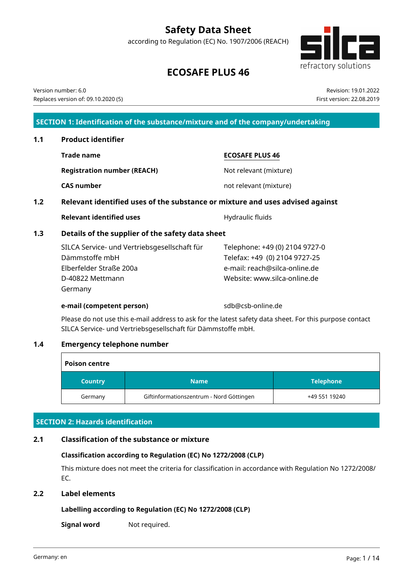# **Safety Data Sheet**

according to Regulation (EC) No. 1907/2006 (REACH)



# **ECOSAFE PLUS 46**

Version number: 6.0 Replaces version of: 09.10.2020 (5)

Revision: 19.01.2022 First version: 22.08.2019

## **SECTION 1: Identification of the substance/mixture and of the company/undertaking**

**Trade name ECOSAFE PLUS 46 Registration number (REACH)** Not relevant (mixture) **CAS number** not relevant (mixture) **1.2 Relevant identified uses of the substance or mixture and uses advised against Relevant identified uses** Manual Relevant identified uses **1.3 Details of the supplier of the safety data sheet** Telephone: +49 (0) 2104 9727-0

| SILCA Service- und Vertriebsgesellschaft für | Telephone: +49 (0) 2104 9727- |
|----------------------------------------------|-------------------------------|
| Dämmstoffe mbH                               | Telefax: +49 (0) 2104 9727-25 |
| Elberfelder Straße 200a                      | e-mail: reach@silca-online.de |
| D-40822 Mettmann                             | Website: www.silca-online.de  |
| Germany                                      |                               |

#### **e-mail (competent person)** sdb@csb-online.de

Please do not use this e-mail address to ask for the latest safety data sheet. For this purpose contact SILCA Service- und Vertriebsgesellschaft für Dämmstoffe mbH.

## **1.4 Emergency telephone number**

| <b>Poison centre</b> |                                          |                  |  |  |  |
|----------------------|------------------------------------------|------------------|--|--|--|
| <b>Country</b>       | <b>Name</b>                              | <b>Telephone</b> |  |  |  |
| Germany              | Giftinformationszentrum - Nord Göttingen | +49 551 19240    |  |  |  |

## **SECTION 2: Hazards identification**

## **2.1 Classification of the substance or mixture**

## **Classification according to Regulation (EC) No 1272/2008 (CLP)**

This mixture does not meet the criteria for classification in accordance with Regulation No 1272/2008/ EC.

## **2.2 Label elements**

# **Labelling according to Regulation (EC) No 1272/2008 (CLP)**

**Signal word** Not required.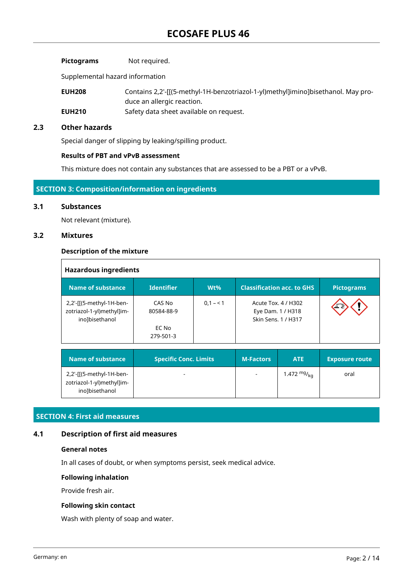| <b>Pictograms</b> | Not required. |
|-------------------|---------------|
|-------------------|---------------|

Supplemental hazard information

**EUH208** Contains 2,2'-[[(5-methyl-1H-benzotriazol-1-yl)methyl]imino]bisethanol. May produce an allergic reaction.

**EUH210** Safety data sheet available on request.

## **2.3 Other hazards**

Special danger of slipping by leaking/spilling product.

## **Results of PBT and vPvB assessment**

This mixture does not contain any substances that are assessed to be a PBT or a vPvB.

## **SECTION 3: Composition/information on ingredients**

#### **3.1 Substances**

Not relevant (mixture).

## **3.2 Mixtures**

 $\Gamma$ 

#### **Description of the mixture**

| <b>Hazardous ingredients</b>                                            |                                            |           |                                                                 |  |                   |
|-------------------------------------------------------------------------|--------------------------------------------|-----------|-----------------------------------------------------------------|--|-------------------|
| Name of substance                                                       | <b>Identifier</b>                          | $Wt\%$    | <b>Classification acc. to GHS</b>                               |  | <b>Pictograms</b> |
| 2,2'-[[(5-methyl-1H-ben-<br>zotriazol-1-yl)methyl]im-<br>ino]bisethanol | CAS No<br>80584-88-9<br>EC No<br>279-501-3 | $0,1 - 1$ | Acute Tox. 4 / H302<br>Eye Dam. 1 / H318<br>Skin Sens. 1 / H317 |  | یخ عد             |
|                                                                         |                                            |           |                                                                 |  |                   |

| Name of substance                                                       | <b>Specific Conc. Limits</b> | <b>M-Factors</b> | <b>ATE</b>       | <b>Exposure route</b> |
|-------------------------------------------------------------------------|------------------------------|------------------|------------------|-----------------------|
| 2,2'-[[(5-methyl-1H-ben-<br>zotriazol-1-yl)methyl]im-<br>ino]bisethanol | -                            |                  | 1.472 $mg/k_{0}$ | oral                  |

## **SECTION 4: First aid measures**

## **4.1 Description of first aid measures**

#### **General notes**

In all cases of doubt, or when symptoms persist, seek medical advice.

#### **Following inhalation**

Provide fresh air.

#### **Following skin contact**

Wash with plenty of soap and water.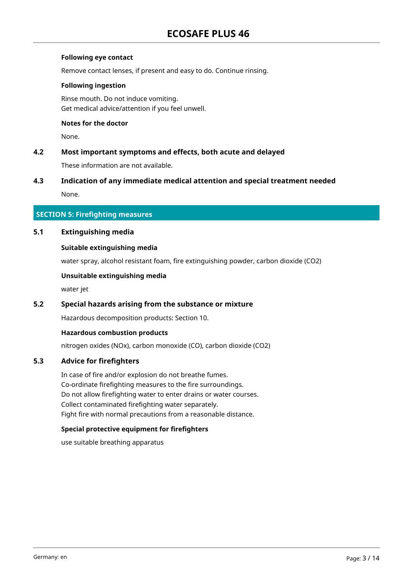## **Following eye contact**

Remove contact lenses, if present and easy to do. Continue rinsing.

## **Following ingestion**

Rinse mouth. Do not induce vomiting. Get medical advice/attention if you feel unwell.

## **Notes for the doctor**

None.

## **4.2 Most important symptoms and effects, both acute and delayed**

These information are not available.

## **4.3 Indication of any immediate medical attention and special treatment needed**

None.

## **SECTION 5: Firefighting measures**

## **5.1 Extinguishing media**

## **Suitable extinguishing media**

water spray, alcohol resistant foam, fire extinguishing powder, carbon dioxide (CO2)

## **Unsuitable extinguishing media**

water jet

## **5.2 Special hazards arising from the substance or mixture**

Hazardous decomposition products: Section 10.

## **Hazardous combustion products**

nitrogen oxides (NOx), carbon monoxide (CO), carbon dioxide (CO2)

## **5.3 Advice for firefighters**

In case of fire and/or explosion do not breathe fumes. Co-ordinate firefighting measures to the fire surroundings. Do not allow firefighting water to enter drains or water courses. Collect contaminated firefighting water separately. Fight fire with normal precautions from a reasonable distance.

## **Special protective equipment for firefighters**

use suitable breathing apparatus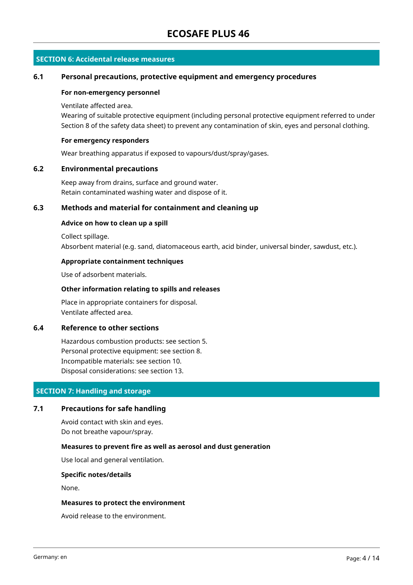## **SECTION 6: Accidental release measures**

#### **6.1 Personal precautions, protective equipment and emergency procedures**

#### **For non-emergency personnel**

#### Ventilate affected area.

Wearing of suitable protective equipment (including personal protective equipment referred to under Section 8 of the safety data sheet) to prevent any contamination of skin, eyes and personal clothing.

#### **For emergency responders**

Wear breathing apparatus if exposed to vapours/dust/spray/gases.

#### **6.2 Environmental precautions**

Keep away from drains, surface and ground water. Retain contaminated washing water and dispose of it.

## **6.3 Methods and material for containment and cleaning up**

#### **Advice on how to clean up a spill**

Collect spillage. Absorbent material (e.g. sand, diatomaceous earth, acid binder, universal binder, sawdust, etc.).

#### **Appropriate containment techniques**

Use of adsorbent materials.

## **Other information relating to spills and releases**

Place in appropriate containers for disposal. Ventilate affected area.

#### **6.4 Reference to other sections**

Hazardous combustion products: see section 5. Personal protective equipment: see section 8. Incompatible materials: see section 10. Disposal considerations: see section 13.

## **SECTION 7: Handling and storage**

## **7.1 Precautions for safe handling**

Avoid contact with skin and eyes. Do not breathe vapour/spray.

#### **Measures to prevent fire as well as aerosol and dust generation**

Use local and general ventilation.

#### **Specific notes/details**

None.

#### **Measures to protect the environment**

Avoid release to the environment.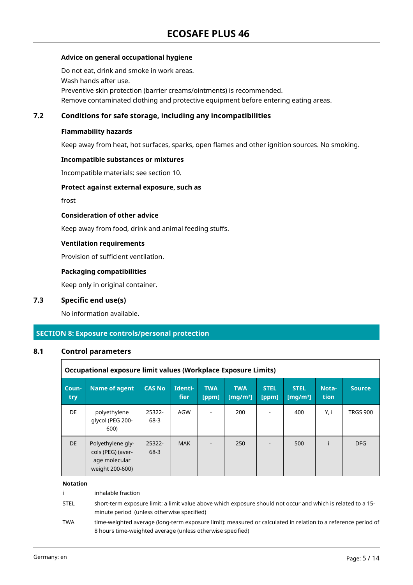## **Advice on general occupational hygiene**

Do not eat, drink and smoke in work areas. Wash hands after use. Preventive skin protection (barrier creams/ointments) is recommended. Remove contaminated clothing and protective equipment before entering eating areas.

## **7.2 Conditions for safe storage, including any incompatibilities**

#### **Flammability hazards**

Keep away from heat, hot surfaces, sparks, open flames and other ignition sources. No smoking.

#### **Incompatible substances or mixtures**

Incompatible materials: see section 10.

#### **Protect against external exposure, such as**

frost

## **Consideration of other advice**

Keep away from food, drink and animal feeding stuffs.

#### **Ventilation requirements**

Provision of sufficient ventilation.

## **Packaging compatibilities**

Keep only in original container.

## **7.3 Specific end use(s)**

No information available.

## **SECTION 8: Exposure controls/personal protection**

## **8.1 Control parameters**

|              | Occupational exposure limit values (Workplace Exposure Limits)             |                |                 |                     |                           |                      |                                     |                             |                 |
|--------------|----------------------------------------------------------------------------|----------------|-----------------|---------------------|---------------------------|----------------------|-------------------------------------|-----------------------------|-----------------|
| Coun-<br>try | <b>Name of agent</b>                                                       | <b>CAS No</b>  | Identi-<br>fier | <b>TWA</b><br>[ppm] | <b>TWA</b><br>[mg/m $3$ ] | <b>STEL</b><br>[ppm] | <b>STEL</b><br>[mq/m <sup>3</sup> ] | <b>Nota-</b><br><b>tion</b> | <b>Source</b>   |
| DE           | polyethylene<br>glycol (PEG 200-<br>600)                                   | 25322-<br>68-3 | AGW             |                     | 200                       |                      | 400                                 | Y, i                        | <b>TRGS 900</b> |
| DE.          | Polyethylene gly-<br>cols (PEG) (aver-<br>age molecular<br>weight 200-600) | 25322-<br>68-3 | <b>MAK</b>      |                     | 250                       |                      | 500                                 |                             | <b>DFG</b>      |

#### **Notation**

i inhalable fraction STEL short-term exposure limit: a limit value above which exposure should not occur and which is related to a 15 minute period (unless otherwise specified) TWA time-weighted average (long-term exposure limit): measured or calculated in relation to a reference period of 8 hours time-weighted average (unless otherwise specified)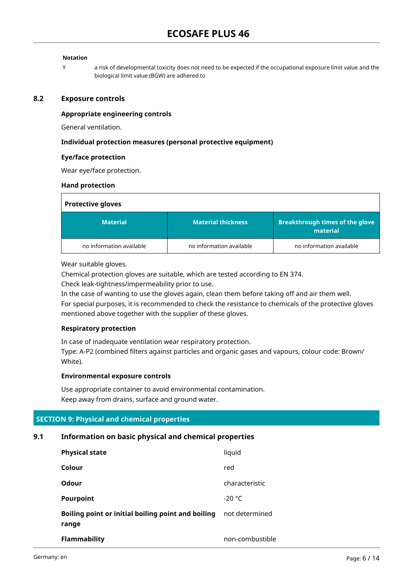## **Notation**

Y a risk of developmental toxicity does not need to be expected if the occupational exposure limit value and the biological limit value (BGW) are adhered to

#### **8.2 Exposure controls**

#### **Appropriate engineering controls**

General ventilation.

#### **Individual protection measures (personal protective equipment)**

#### **Eye/face protection**

Wear eye/face protection.

#### **Hand protection**

| <b>Protective gloves</b> |                           |                                                    |
|--------------------------|---------------------------|----------------------------------------------------|
| <b>Material</b>          | <b>Material thickness</b> | <b>Breakthrough times of the glove</b><br>material |
| no information available | no information available  | no information available                           |

Wear suitable gloves.

Chemical protection gloves are suitable, which are tested according to EN 374.

Check leak-tightness/impermeability prior to use.

In the case of wanting to use the gloves again, clean them before taking off and air them well. For special purposes, it is recommended to check the resistance to chemicals of the protective gloves mentioned above together with the supplier of these gloves.

## **Respiratory protection**

In case of inadequate ventilation wear respiratory protection.

Type: A-P2 (combined filters against particles and organic gases and vapours, colour code: Brown/ White).

## **Environmental exposure controls**

Use appropriate container to avoid environmental contamination. Keep away from drains, surface and ground water.

## **SECTION 9: Physical and chemical properties**

## **9.1 Information on basic physical and chemical properties**

| <b>Physical state</b>                                       | liquid          |
|-------------------------------------------------------------|-----------------|
| Colour                                                      | red             |
| Odour                                                       | characteristic  |
| Pourpoint                                                   | $-20 °C$        |
| Boiling point or initial boiling point and boiling<br>range | not determined  |
| <b>Flammability</b>                                         | non-combustible |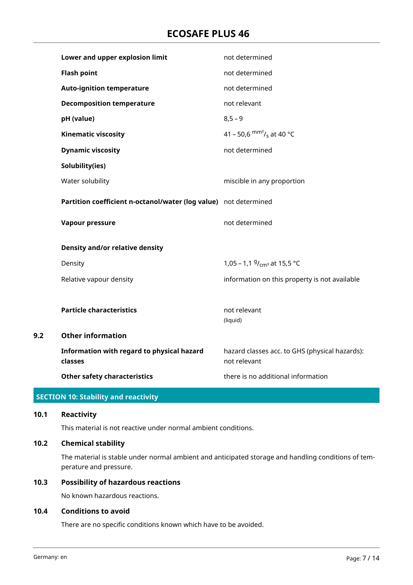# **ECOSAFE PLUS 46**

|     | Lower and upper explosion limit                                  | not determined                                                 |
|-----|------------------------------------------------------------------|----------------------------------------------------------------|
|     | <b>Flash point</b>                                               | not determined                                                 |
|     | <b>Auto-ignition temperature</b>                                 | not determined                                                 |
|     | <b>Decomposition temperature</b>                                 | not relevant                                                   |
|     | pH (value)                                                       | $8,5 - 9$                                                      |
|     | <b>Kinematic viscosity</b>                                       | 41 – 50,6 $\text{mm}^2$ / <sub>s</sub> at 40 °C                |
|     | <b>Dynamic viscosity</b>                                         | not determined                                                 |
|     | Solubility(ies)                                                  |                                                                |
|     | Water solubility                                                 | miscible in any proportion                                     |
|     | Partition coefficient n-octanol/water (log value) not determined |                                                                |
|     | Vapour pressure                                                  | not determined                                                 |
|     | Density and/or relative density                                  |                                                                |
|     | Density                                                          | 1,05 – 1,1 $9/_{cm^3}$ at 15,5 °C                              |
|     | Relative vapour density                                          | information on this property is not available                  |
|     |                                                                  |                                                                |
|     | <b>Particle characteristics</b>                                  | not relevant<br>(liquid)                                       |
| 9.2 | <b>Other information</b>                                         |                                                                |
|     | Information with regard to physical hazard<br>classes            | hazard classes acc. to GHS (physical hazards):<br>not relevant |
|     | <b>Other safety characteristics</b>                              | there is no additional information                             |
|     |                                                                  |                                                                |

# **SECTION 10: Stability and reactivity**

# **10.1 Reactivity**

This material is not reactive under normal ambient conditions.

## **10.2 Chemical stability**

The material is stable under normal ambient and anticipated storage and handling conditions of temperature and pressure.

## **10.3 Possibility of hazardous reactions**

No known hazardous reactions.

#### **10.4 Conditions to avoid**

There are no specific conditions known which have to be avoided.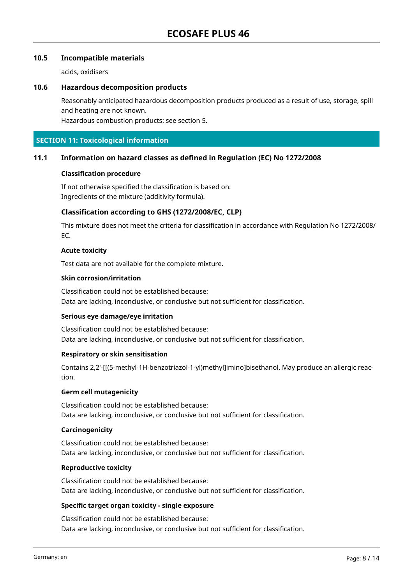## **10.5 Incompatible materials**

acids, oxidisers

## **10.6 Hazardous decomposition products**

Reasonably anticipated hazardous decomposition products produced as a result of use, storage, spill and heating are not known.

Hazardous combustion products: see section 5.

## **SECTION 11: Toxicological information**

## **11.1 Information on hazard classes as defined in Regulation (EC) No 1272/2008**

#### **Classification procedure**

If not otherwise specified the classification is based on: Ingredients of the mixture (additivity formula).

## **Classification according to GHS (1272/2008/EC, CLP)**

This mixture does not meet the criteria for classification in accordance with Regulation No 1272/2008/ EC.

## **Acute toxicity**

Test data are not available for the complete mixture.

#### **Skin corrosion/irritation**

Classification could not be established because: Data are lacking, inconclusive, or conclusive but not sufficient for classification.

## **Serious eye damage/eye irritation**

Classification could not be established because: Data are lacking, inconclusive, or conclusive but not sufficient for classification.

## **Respiratory or skin sensitisation**

Contains 2,2'-[[(5-methyl-1H-benzotriazol-1-yl)methyl]imino]bisethanol. May produce an allergic reaction.

#### **Germ cell mutagenicity**

Classification could not be established because: Data are lacking, inconclusive, or conclusive but not sufficient for classification.

## **Carcinogenicity**

Classification could not be established because: Data are lacking, inconclusive, or conclusive but not sufficient for classification.

#### **Reproductive toxicity**

Classification could not be established because: Data are lacking, inconclusive, or conclusive but not sufficient for classification.

## **Specific target organ toxicity - single exposure**

Classification could not be established because: Data are lacking, inconclusive, or conclusive but not sufficient for classification.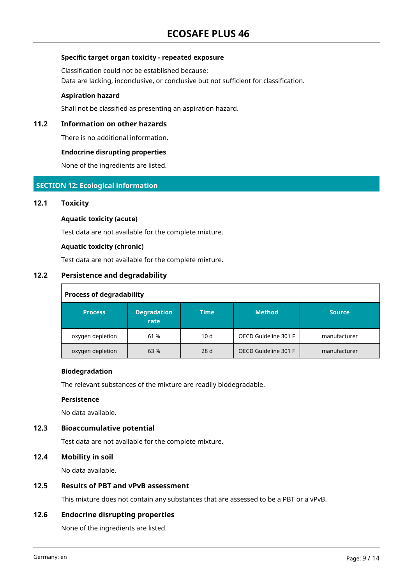## **Specific target organ toxicity - repeated exposure**

Classification could not be established because: Data are lacking, inconclusive, or conclusive but not sufficient for classification.

#### **Aspiration hazard**

Shall not be classified as presenting an aspiration hazard.

## **11.2 Information on other hazards**

There is no additional information.

#### **Endocrine disrupting properties**

None of the ingredients are listed.

## **SECTION 12: Ecological information**

## **12.1 Toxicity**

#### **Aquatic toxicity (acute)**

Test data are not available for the complete mixture.

#### **Aquatic toxicity (chronic)**

Test data are not available for the complete mixture.

## **12.2 Persistence and degradability**

| <b>Process of degradability</b> |                            |             |                      |               |  |  |
|---------------------------------|----------------------------|-------------|----------------------|---------------|--|--|
| <b>Process</b>                  | <b>Degradation</b><br>rate | <b>Time</b> | <b>Method</b>        | <b>Source</b> |  |  |
| oxygen depletion                | 61 %                       | 10d         | OECD Guideline 301 F | manufacturer  |  |  |
| oxygen depletion                | 63%                        | 28d         | OECD Guideline 301 F | manufacturer  |  |  |

## **Biodegradation**

The relevant substances of the mixture are readily biodegradable.

#### **Persistence**

No data available.

## **12.3 Bioaccumulative potential**

Test data are not available for the complete mixture.

## **12.4 Mobility in soil**

No data available.

## **12.5 Results of PBT and vPvB assessment**

This mixture does not contain any substances that are assessed to be a PBT or a vPvB.

## **12.6 Endocrine disrupting properties**

None of the ingredients are listed.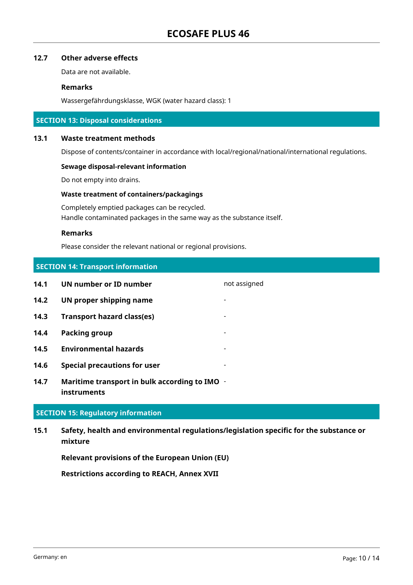## **12.7 Other adverse effects**

Data are not available.

## **Remarks**

Wassergefährdungsklasse, WGK (water hazard class): 1

## **SECTION 13: Disposal considerations**

#### **13.1 Waste treatment methods**

Dispose of contents/container in accordance with local/regional/national/international regulations.

#### **Sewage disposal-relevant information**

Do not empty into drains.

## **Waste treatment of containers/packagings**

Completely emptied packages can be recycled. Handle contaminated packages in the same way as the substance itself.

## **Remarks**

Please consider the relevant national or regional provisions.

# **SECTION 14: Transport information**

| 14.1 | UN number or ID number              | not assigned             |
|------|-------------------------------------|--------------------------|
| 14.2 | UN proper shipping name             |                          |
| 14.3 | <b>Transport hazard class(es)</b>   |                          |
| 14.4 | Packing group                       | $\overline{\phantom{0}}$ |
| 14.5 | <b>Environmental hazards</b>        |                          |
| 14.6 | <b>Special precautions for user</b> |                          |
|      |                                     |                          |

**14.7 Maritime transport in bulk according to IMO instruments**

## **SECTION 15: Regulatory information**

**15.1 Safety, health and environmental regulations/legislation specific for the substance or mixture**

**Relevant provisions of the European Union (EU)**

**Restrictions according to REACH, Annex XVII**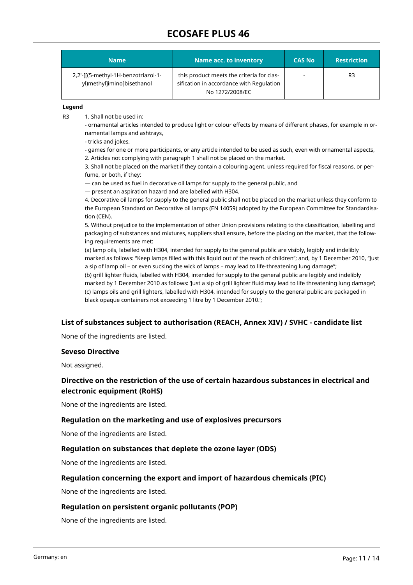# **ECOSAFE PLUS 46**

| 'Name                                                             | <b>Name acc. to inventory</b>                                                                            | <b>CAS No</b> | <b>Restriction</b> |
|-------------------------------------------------------------------|----------------------------------------------------------------------------------------------------------|---------------|--------------------|
| 2,2'-[[(5-methyl-1H-benzotriazol-1-<br>yl)methyl]imino]bisethanol | this product meets the criteria for clas-<br>sification in accordance with Regulation<br>No 1272/2008/EC |               | R3                 |

#### **Legend**

R3 1. Shall not be used in:

- ornamental articles intended to produce light or colour effects by means of different phases, for example in ornamental lamps and ashtrays,

- tricks and jokes,

- games for one or more participants, or any article intended to be used as such, even with ornamental aspects, 2. Articles not complying with paragraph 1 shall not be placed on the market.

3. Shall not be placed on the market if they contain a colouring agent, unless required for fiscal reasons, or perfume, or both, if they:

— can be used as fuel in decorative oil lamps for supply to the general public, and

— present an aspiration hazard and are labelled with H304.

4. Decorative oil lamps for supply to the general public shall not be placed on the market unless they conform to the European Standard on Decorative oil lamps (EN 14059) adopted by the European Committee for Standardisation (CEN).

5. Without prejudice to the implementation of other Union provisions relating to the classification, labelling and packaging of substances and mixtures, suppliers shall ensure, before the placing on the market, that the following requirements are met:

(a) lamp oils, labelled with H304, intended for supply to the general public are visibly, legibly and indelibly marked as follows: "Keep lamps filled with this liquid out of the reach of children"; and, by 1 December 2010, "Just a sip of lamp oil – or even sucking the wick of lamps – may lead to life-threatening lung damage"; (b) grill lighter fluids, labelled with H304, intended for supply to the general public are legibly and indelibly marked by 1 December 2010 as follows: 'Just a sip of grill lighter fluid may lead to life threatening lung damage'; (c) lamps oils and grill lighters, labelled with H304, intended for supply to the general public are packaged in black opaque containers not exceeding 1 litre by 1 December 2010.';

## **List of substances subject to authorisation (REACH, Annex XIV) / SVHC - candidate list**

None of the ingredients are listed.

#### **Seveso Directive**

Not assigned.

## **Directive on the restriction of the use of certain hazardous substances in electrical and electronic equipment (RoHS)**

None of the ingredients are listed.

## **Regulation on the marketing and use of explosives precursors**

None of the ingredients are listed.

## **Regulation on substances that deplete the ozone layer (ODS)**

None of the ingredients are listed.

## **Regulation concerning the export and import of hazardous chemicals (PIC)**

None of the ingredients are listed.

## **Regulation on persistent organic pollutants (POP)**

None of the ingredients are listed.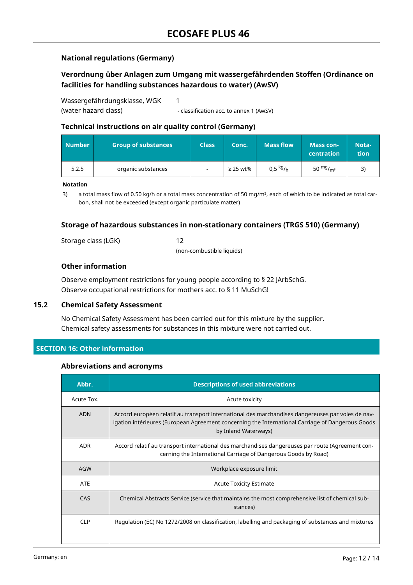## **National regulations (Germany)**

## **Verordnung über Anlagen zum Umgang mit wassergefährdenden Stoffen (Ordinance on facilities for handling substances hazardous to water) (AwSV)**

Wassergefährdungsklasse, WGK (water hazard class) 1 - classification acc. to annex 1 (AwSV)

## **Technical instructions on air quality control (Germany)**

| <b>Number</b> | <b>Group of substances</b> | <b>Class</b>             | Conc.         | <b>Mass flow</b>  | <b>Mass con-</b><br><b>centration</b> | Nota-<br>tion. |
|---------------|----------------------------|--------------------------|---------------|-------------------|---------------------------------------|----------------|
| 5.2.5         | organic substances         | $\overline{\phantom{a}}$ | $\geq$ 25 wt% | $0.5\ {\rm kg/h}$ | 50 $mg/m3$                            |                |

#### **Notation**

3) a total mass flow of 0.50 kg/h or a total mass concentration of 50 mg/m<sup>3</sup>, each of which to be indicated as total carbon, shall not be exceeded (except organic particulate matter)

## **Storage of hazardous substances in non-stationary containers (TRGS 510) (Germany)**

Storage class (LGK) 12

(non-combustible liquids)

## **Other information**

Observe employment restrictions for young people according to § 22 JArbSchG. Observe occupational restrictions for mothers acc. to § 11 MuSchG!

## **15.2 Chemical Safety Assessment**

No Chemical Safety Assessment has been carried out for this mixture by the supplier. Chemical safety assessments for substances in this mixture were not carried out.

## **SECTION 16: Other information**

## **Abbreviations and acronyms**

| Abbr.      | <b>Descriptions of used abbreviations</b>                                                                                                                                                                                     |
|------------|-------------------------------------------------------------------------------------------------------------------------------------------------------------------------------------------------------------------------------|
| Acute Tox. | Acute toxicity                                                                                                                                                                                                                |
| <b>ADN</b> | Accord européen relatif au transport international des marchandises dangereuses par voies de nav-<br>igation intérieures (European Agreement concerning the International Carriage of Dangerous Goods<br>by Inland Waterways) |
| <b>ADR</b> | Accord relatif au transport international des marchandises dangereuses par route (Agreement con-<br>cerning the International Carriage of Dangerous Goods by Road)                                                            |
| AGW        | Workplace exposure limit                                                                                                                                                                                                      |
| <b>ATE</b> | <b>Acute Toxicity Estimate</b>                                                                                                                                                                                                |
| CAS        | Chemical Abstracts Service (service that maintains the most comprehensive list of chemical sub-<br>stances)                                                                                                                   |
| <b>CLP</b> | Regulation (EC) No 1272/2008 on classification, labelling and packaging of substances and mixtures                                                                                                                            |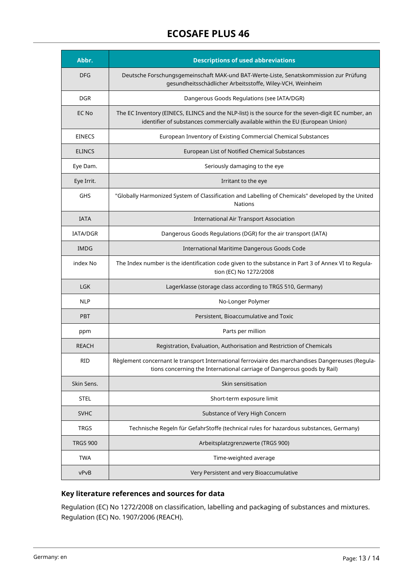# **ECOSAFE PLUS 46**

| Abbr.           | <b>Descriptions of used abbreviations</b>                                                                                                                                            |
|-----------------|--------------------------------------------------------------------------------------------------------------------------------------------------------------------------------------|
| <b>DFG</b>      | Deutsche Forschungsgemeinschaft MAK-und BAT-Werte-Liste, Senatskommission zur Prüfung<br>gesundheitsschädlicher Arbeitsstoffe, Wiley-VCH, Weinheim                                   |
| <b>DGR</b>      | Dangerous Goods Regulations (see IATA/DGR)                                                                                                                                           |
| EC No           | The EC Inventory (EINECS, ELINCS and the NLP-list) is the source for the seven-digit EC number, an<br>identifier of substances commercially available within the EU (European Union) |
| <b>EINECS</b>   | European Inventory of Existing Commercial Chemical Substances                                                                                                                        |
| <b>ELINCS</b>   | European List of Notified Chemical Substances                                                                                                                                        |
| Eye Dam.        | Seriously damaging to the eye                                                                                                                                                        |
| Eye Irrit.      | Irritant to the eye                                                                                                                                                                  |
| <b>GHS</b>      | "Globally Harmonized System of Classification and Labelling of Chemicals" developed by the United<br><b>Nations</b>                                                                  |
| <b>IATA</b>     | <b>International Air Transport Association</b>                                                                                                                                       |
| <b>IATA/DGR</b> | Dangerous Goods Regulations (DGR) for the air transport (IATA)                                                                                                                       |
| <b>IMDG</b>     | International Maritime Dangerous Goods Code                                                                                                                                          |
| index No        | The Index number is the identification code given to the substance in Part 3 of Annex VI to Regula-<br>tion (EC) No 1272/2008                                                        |
| <b>LGK</b>      | Lagerklasse (storage class according to TRGS 510, Germany)                                                                                                                           |
| <b>NLP</b>      | No-Longer Polymer                                                                                                                                                                    |
| <b>PBT</b>      | Persistent, Bioaccumulative and Toxic                                                                                                                                                |
| ppm             | Parts per million                                                                                                                                                                    |
| <b>REACH</b>    | Registration, Evaluation, Authorisation and Restriction of Chemicals                                                                                                                 |
| <b>RID</b>      | Règlement concernant le transport International ferroviaire des marchandises Dangereuses (Regula-<br>tions concerning the International carriage of Dangerous goods by Rail)         |
| Skin Sens.      | Skin sensitisation                                                                                                                                                                   |
| <b>STEL</b>     | Short-term exposure limit                                                                                                                                                            |
| <b>SVHC</b>     | Substance of Very High Concern                                                                                                                                                       |
| <b>TRGS</b>     | Technische Regeln für GefahrStoffe (technical rules for hazardous substances, Germany)                                                                                               |
| <b>TRGS 900</b> | Arbeitsplatzgrenzwerte (TRGS 900)                                                                                                                                                    |
| <b>TWA</b>      | Time-weighted average                                                                                                                                                                |
| vPvB            | Very Persistent and very Bioaccumulative                                                                                                                                             |

# **Key literature references and sources for data**

Regulation (EC) No 1272/2008 on classification, labelling and packaging of substances and mixtures. Regulation (EC) No. 1907/2006 (REACH).